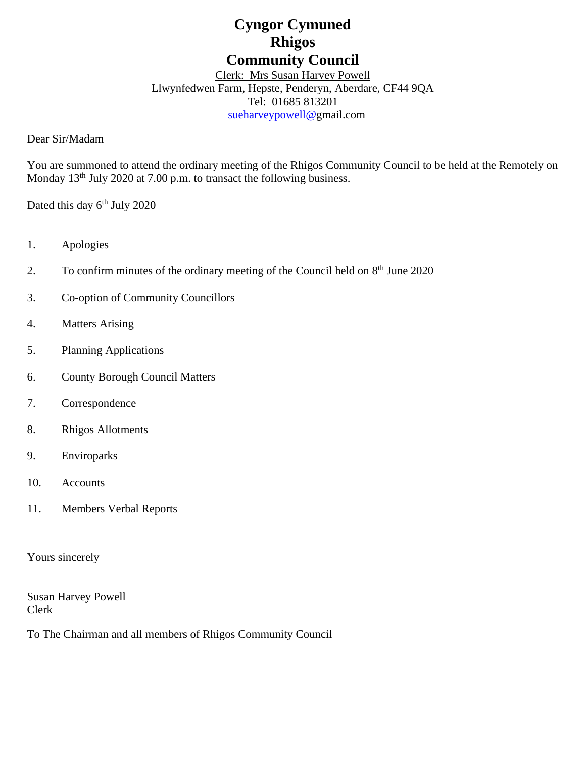# **Cyngor Cymuned Rhigos Community Council**

Clerk: Mrs Susan Harvey Powell Llwynfedwen Farm, Hepste, Penderyn, Aberdare, CF44 9QA Tel: 01685 813201 [sueharveypowell@g](mailto:sharveypowell@comin-infants.co.uk)mail.com

Dear Sir/Madam

You are summoned to attend the ordinary meeting of the Rhigos Community Council to be held at the Remotely on Monday  $13<sup>th</sup>$  July 2020 at 7.00 p.m. to transact the following business.

Dated this day 6<sup>th</sup> July 2020

- 1. Apologies
- 2. To confirm minutes of the ordinary meeting of the Council held on 8<sup>th</sup> June 2020
- 3. Co-option of Community Councillors
- 4. Matters Arising
- 5. Planning Applications
- 6. County Borough Council Matters
- 7. Correspondence
- 8. Rhigos Allotments
- 9. Enviroparks
- 10. Accounts
- 11. Members Verbal Reports

Yours sincerely

Susan Harvey Powell Clerk

To The Chairman and all members of Rhigos Community Council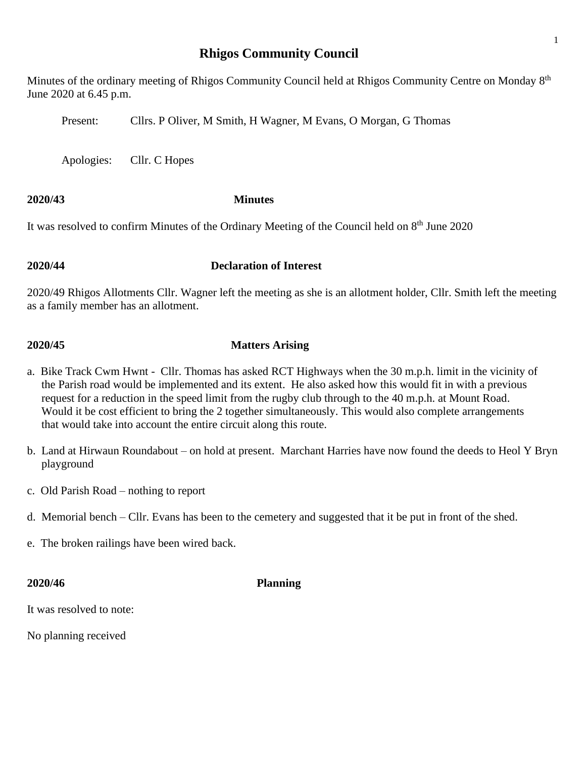# **Rhigos Community Council**

Minutes of the ordinary meeting of Rhigos Community Council held at Rhigos Community Centre on Monday 8<sup>th</sup> June 2020 at 6.45 p.m.

Present: Cllrs. P Oliver, M Smith, H Wagner, M Evans, O Morgan, G Thomas

Apologies: Cllr. C Hopes

### **2020/43 Minutes**

It was resolved to confirm Minutes of the Ordinary Meeting of the Council held on 8<sup>th</sup> June 2020

### **2020/44 Declaration of Interest**

2020/49 Rhigos Allotments Cllr. Wagner left the meeting as she is an allotment holder, Cllr. Smith left the meeting as a family member has an allotment.

## **2020/45 Matters Arising**

- a. Bike Track Cwm Hwnt Cllr. Thomas has asked RCT Highways when the 30 m.p.h. limit in the vicinity of the Parish road would be implemented and its extent. He also asked how this would fit in with a previous request for a reduction in the speed limit from the rugby club through to the 40 m.p.h. at Mount Road. Would it be cost efficient to bring the 2 together simultaneously. This would also complete arrangements that would take into account the entire circuit along this route.
- b. Land at Hirwaun Roundabout on hold at present. Marchant Harries have now found the deeds to Heol Y Bryn playground
- c. Old Parish Road nothing to report
- d. Memorial bench Cllr. Evans has been to the cemetery and suggested that it be put in front of the shed.
- e. The broken railings have been wired back.

### **2020/46 Planning**

It was resolved to note:

No planning received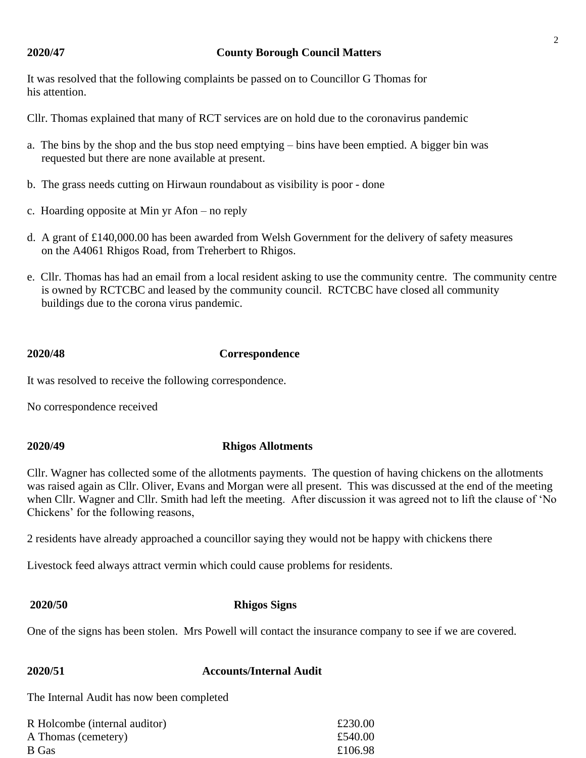### **2020/47 County Borough Council Matters**

It was resolved that the following complaints be passed on to Councillor G Thomas for his attention.

Cllr. Thomas explained that many of RCT services are on hold due to the coronavirus pandemic

- a. The bins by the shop and the bus stop need emptying bins have been emptied. A bigger bin was requested but there are none available at present.
- b. The grass needs cutting on Hirwaun roundabout as visibility is poor done
- c. Hoarding opposite at Min yr Afon no reply
- d. A grant of £140,000.00 has been awarded from Welsh Government for the delivery of safety measures on the A4061 Rhigos Road, from Treherbert to Rhigos.
- e. Cllr. Thomas has had an email from a local resident asking to use the community centre. The community centre is owned by RCTCBC and leased by the community council. RCTCBC have closed all community buildings due to the corona virus pandemic.

### **2020/48 Correspondence**

It was resolved to receive the following correspondence.

No correspondence received

### **2020/49 Rhigos Allotments**

Cllr. Wagner has collected some of the allotments payments. The question of having chickens on the allotments was raised again as Cllr. Oliver, Evans and Morgan were all present. This was discussed at the end of the meeting when Cllr. Wagner and Cllr. Smith had left the meeting. After discussion it was agreed not to lift the clause of 'No Chickens' for the following reasons,

2 residents have already approached a councillor saying they would not be happy with chickens there

Livestock feed always attract vermin which could cause problems for residents.

### **2020/50 Rhigos Signs**

One of the signs has been stolen. Mrs Powell will contact the insurance company to see if we are covered.

| <b>2020/51</b> | <b>Accounts/Internal Audit</b> |
|----------------|--------------------------------|
|                |                                |

The Internal Audit has now been completed

| R Holcombe (internal auditor) | £230.00 |
|-------------------------------|---------|
| A Thomas (cemetery)           | £540.00 |
| B Gas                         | £106.98 |